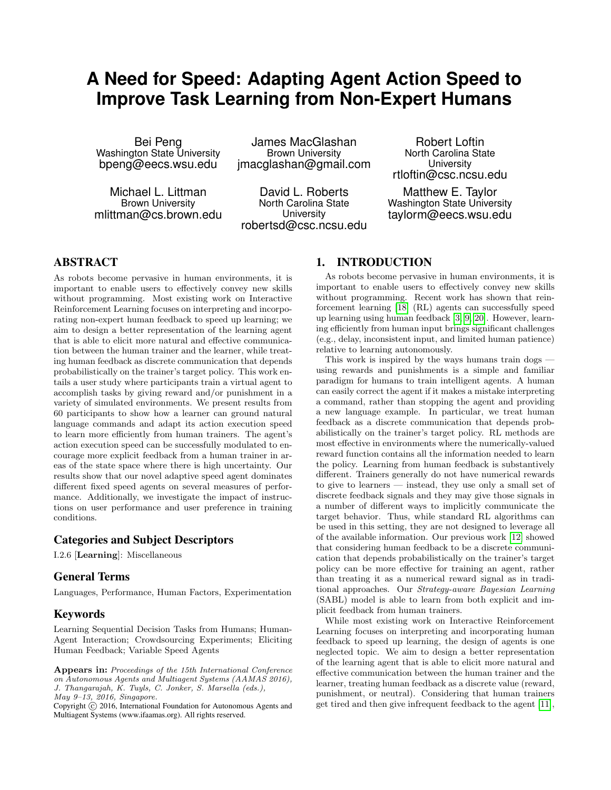# **A Need for Speed: Adapting Agent Action Speed to Improve Task Learning from Non-Expert Humans**

Bei Peng Washington State University bpeng@eecs.wsu.edu

Michael L. Littman Brown University mlittman@cs.brown.edu

James MacGlashan Brown University jmacglashan@gmail.com

David L. Roberts North Carolina State **University** robertsd@csc.ncsu.edu

Robert Loftin North Carolina State **University** rtloftin@csc.ncsu.edu

Matthew E. Taylor Washington State University taylorm@eecs.wsu.edu

## ABSTRACT

As robots become pervasive in human environments, it is important to enable users to effectively convey new skills without programming. Most existing work on Interactive Reinforcement Learning focuses on interpreting and incorporating non-expert human feedback to speed up learning; we aim to design a better representation of the learning agent that is able to elicit more natural and effective communication between the human trainer and the learner, while treating human feedback as discrete communication that depends probabilistically on the trainer's target policy. This work entails a user study where participants train a virtual agent to accomplish tasks by giving reward and/or punishment in a variety of simulated environments. We present results from 60 participants to show how a learner can ground natural language commands and adapt its action execution speed to learn more efficiently from human trainers. The agent's action execution speed can be successfully modulated to encourage more explicit feedback from a human trainer in areas of the state space where there is high uncertainty. Our results show that our novel adaptive speed agent dominates different fixed speed agents on several measures of performance. Additionally, we investigate the impact of instructions on user performance and user preference in training conditions.

## Categories and Subject Descriptors

I.2.6 [Learning]: Miscellaneous

## General Terms

Languages, Performance, Human Factors, Experimentation

## Keywords

Learning Sequential Decision Tasks from Humans; Human-Agent Interaction; Crowdsourcing Experiments; Eliciting Human Feedback; Variable Speed Agents

## <span id="page-0-0"></span>1. INTRODUCTION

As robots become pervasive in human environments, it is important to enable users to effectively convey new skills without programming. Recent work has shown that reinforcement learning [\[18\]](#page-8-0) (RL) agents can successfully speed up learning using human feedback [\[3,](#page-8-1) [9,](#page-8-2) [20\]](#page-8-3). However, learning efficiently from human input brings significant challenges (e.g., delay, inconsistent input, and limited human patience) relative to learning autonomously.

This work is inspired by the ways humans train dogs using rewards and punishments is a simple and familiar paradigm for humans to train intelligent agents. A human can easily correct the agent if it makes a mistake interpreting a command, rather than stopping the agent and providing a new language example. In particular, we treat human feedback as a discrete communication that depends probabilistically on the trainer's target policy. RL methods are most effective in environments where the numerically-valued reward function contains all the information needed to learn the policy. Learning from human feedback is substantively different. Trainers generally do not have numerical rewards to give to learners — instead, they use only a small set of discrete feedback signals and they may give those signals in a number of different ways to implicitly communicate the target behavior. Thus, while standard RL algorithms can be used in this setting, they are not designed to leverage all of the available information. Our previous work [\[12\]](#page-8-4) showed that considering human feedback to be a discrete communication that depends probabilistically on the trainer's target policy can be more effective for training an agent, rather than treating it as a numerical reward signal as in traditional approaches. Our Strategy-aware Bayesian Learning (SABL) model is able to learn from both explicit and implicit feedback from human trainers.

While most existing work on Interactive Reinforcement Learning focuses on interpreting and incorporating human feedback to speed up learning, the design of agents is one neglected topic. We aim to design a better representation of the learning agent that is able to elicit more natural and effective communication between the human trainer and the learner, treating human feedback as a discrete value (reward, punishment, or neutral). Considering that human trainers get tired and then give infrequent feedback to the agent [\[11\]](#page-8-5),

Appears in: Proceedings of the 15th International Conference on Autonomous Agents and Multiagent Systems (AAMAS 2016), J. Thangarajah, K. Tuyls, C. Jonker, S. Marsella (eds.), May 9–13, 2016, Singapore.

Copyright (C) 2016, International Foundation for Autonomous Agents and Multiagent Systems (www.ifaamas.org). All rights reserved.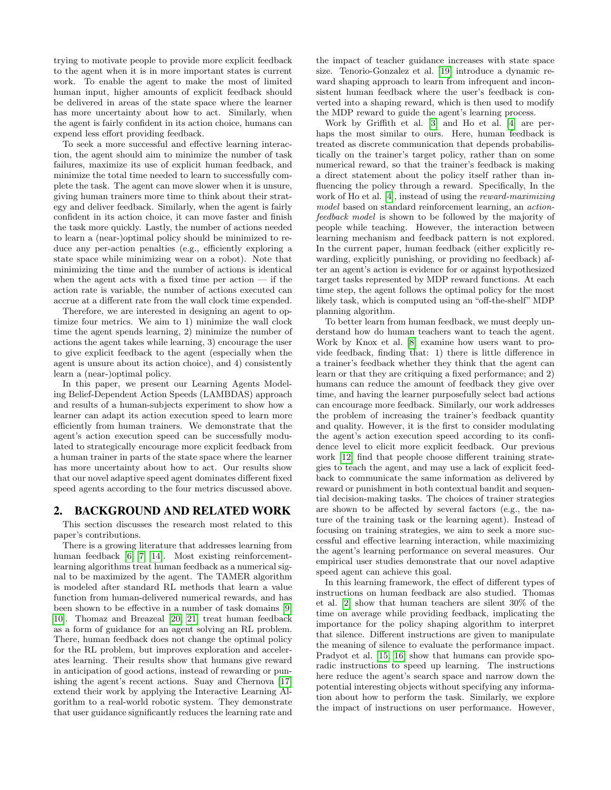trying to motivate people to provide more explicit feedback to the agent when it is in more important states is current work. To enable the agent to make the most of limited human input, higher amounts of explicit feedback should be delivered in areas of the state space where the learner has more uncertainty about how to act. Similarly, when the agent is fairly confident in its action choice, humans can expend less effort providing feedback.

To seek a more successful and effective learning interaction, the agent should aim to minimize the number of task failures, maximize its use of explicit human feedback, and minimize the total time needed to learn to successfully complete the task. The agent can move slower when it is unsure, giving human trainers more time to think about their strategy and deliver feedback. Similarly, when the agent is fairly confident in its action choice, it can move faster and finish the task more quickly. Lastly, the number of actions needed to learn a (near-)optimal policy should be minimized to reduce any per-action penalties (e.g., efficiently exploring a state space while minimizing wear on a robot). Note that minimizing the time and the number of actions is identical when the agent acts with a fixed time per action — if the action rate is variable, the number of actions executed can accrue at a different rate from the wall clock time expended.

Therefore, we are interested in designing an agent to optimize four metrics. We aim to 1) minimize the wall clock time the agent spends learning, 2) minimize the number of actions the agent takes while learning, 3) encourage the user to give explicit feedback to the agent (especially when the agent is unsure about its action choice), and 4) consistently learn a (near-)optimal policy.

In this paper, we present our Learning Agents Modeling Belief-Dependent Action Speeds (LAMBDAS) approach and results of a human-subjects experiment to show how a learner can adapt its action execution speed to learn more efficiently from human trainers. We demonstrate that the agent's action execution speed can be successfully modulated to strategically encourage more explicit feedback from a human trainer in parts of the state space where the learner has more uncertainty about how to act. Our results show that our novel adaptive speed agent dominates different fixed speed agents according to the four metrics discussed above.

#### 2. BACKGROUND AND RELATED WORK

This section discusses the research most related to this paper's contributions.

There is a growing literature that addresses learning from human feedback [\[6,](#page-8-6) [7,](#page-8-7) [14\]](#page-8-8). Most existing reinforcementlearning algorithms treat human feedback as a numerical signal to be maximized by the agent. The TAMER algorithm is modeled after standard RL methods that learn a value function from human-delivered numerical rewards, and has been shown to be effective in a number of task domains [\[9,](#page-8-2) [10\]](#page-8-9). Thomaz and Breazeal [\[20,](#page-8-3) [21\]](#page-8-10) treat human feedback as a form of guidance for an agent solving an RL problem. There, human feedback does not change the optimal policy for the RL problem, but improves exploration and accelerates learning. Their results show that humans give reward in anticipation of good actions, instead of rewarding or punishing the agent's recent actions. Suay and Chernova [\[17\]](#page-8-11) extend their work by applying the Interactive Learning Algorithm to a real-world robotic system. They demonstrate that user guidance significantly reduces the learning rate and the impact of teacher guidance increases with state space size. Tenorio-Gonzalez et al. [\[19\]](#page-8-12) introduce a dynamic reward shaping approach to learn from infrequent and inconsistent human feedback where the user's feedback is converted into a shaping reward, which is then used to modify the MDP reward to guide the agent's learning process.

Work by Griffith et al. [\[3\]](#page-8-1) and Ho et al. [\[4\]](#page-8-13) are perhaps the most similar to ours. Here, human feedback is treated as discrete communication that depends probabilistically on the trainer's target policy, rather than on some numerical reward, so that the trainer's feedback is making a direct statement about the policy itself rather than influencing the policy through a reward. Specifically, In the work of Ho et al. [\[4\]](#page-8-13), instead of using the reward-maximizing model based on standard reinforcement learning, an actionfeedback model is shown to be followed by the majority of people while teaching. However, the interaction between learning mechanism and feedback pattern is not explored. In the current paper, human feedback (either explicitly rewarding, explicitly punishing, or providing no feedback) after an agent's action is evidence for or against hypothesized target tasks represented by MDP reward functions. At each time step, the agent follows the optimal policy for the most likely task, which is computed using an "off-the-shelf" MDP planning algorithm.

To better learn from human feedback, we must deeply understand how do human teachers want to teach the agent. Work by Knox et al. [\[8\]](#page-8-14) examine how users want to provide feedback, finding that: 1) there is little difference in a trainer's feedback whether they think that the agent can learn or that they are critiquing a fixed performance; and 2) humans can reduce the amount of feedback they give over time, and having the learner purposefully select bad actions can encourage more feedback. Similarly, our work addresses the problem of increasing the trainer's feedback quantity and quality. However, it is the first to consider modulating the agent's action execution speed according to its confidence level to elicit more explicit feedback. Our previous work [\[12\]](#page-8-4) find that people choose different training strategies to teach the agent, and may use a lack of explicit feedback to communicate the same information as delivered by reward or punishment in both contextual bandit and sequential decision-making tasks. The choices of trainer strategies are shown to be affected by several factors (e.g., the nature of the training task or the learning agent). Instead of focusing on training strategies, we aim to seek a more successful and effective learning interaction, while maximizing the agent's learning performance on several measures. Our empirical user studies demonstrate that our novel adaptive speed agent can achieve this goal.

In this learning framework, the effect of different types of instructions on human feedback are also studied. Thomas et al. [\[2\]](#page-8-15) show that human teachers are silent 30% of the time on average while providing feedback, implicating the importance for the policy shaping algorithm to interpret that silence. Different instructions are given to manipulate the meaning of silence to evaluate the performance impact. Pradyot et al. [\[15,](#page-8-16) [16\]](#page-8-17) show that humans can provide sporadic instructions to speed up learning. The instructions here reduce the agent's search space and narrow down the potential interesting objects without specifying any information about how to perform the task. Similarly, we explore the impact of instructions on user performance. However,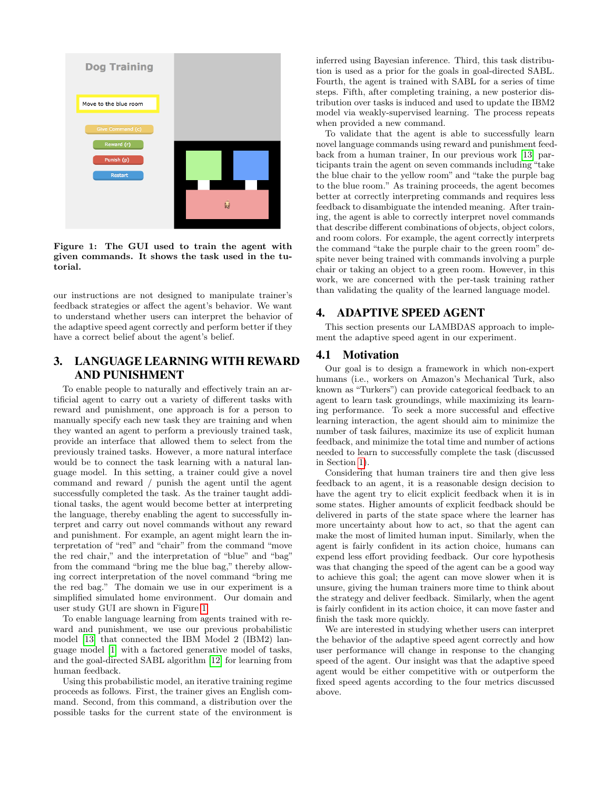

<span id="page-2-0"></span>Figure 1: The GUI used to train the agent with given commands. It shows the task used in the tutorial.

our instructions are not designed to manipulate trainer's feedback strategies or affect the agent's behavior. We want to understand whether users can interpret the behavior of the adaptive speed agent correctly and perform better if they have a correct belief about the agent's belief.

## 3. LANGUAGE LEARNING WITH REWARD AND PUNISHMENT

To enable people to naturally and effectively train an artificial agent to carry out a variety of different tasks with reward and punishment, one approach is for a person to manually specify each new task they are training and when they wanted an agent to perform a previously trained task, provide an interface that allowed them to select from the previously trained tasks. However, a more natural interface would be to connect the task learning with a natural language model. In this setting, a trainer could give a novel command and reward / punish the agent until the agent successfully completed the task. As the trainer taught additional tasks, the agent would become better at interpreting the language, thereby enabling the agent to successfully interpret and carry out novel commands without any reward and punishment. For example, an agent might learn the interpretation of "red" and "chair" from the command "move the red chair," and the interpretation of "blue" and "bag" from the command "bring me the blue bag," thereby allowing correct interpretation of the novel command "bring me the red bag." The domain we use in our experiment is a simplified simulated home environment. Our domain and user study GUI are shown in Figure [1.](#page-2-0)

To enable language learning from agents trained with reward and punishment, we use our previous probabilistic model [\[13\]](#page-8-18) that connected the IBM Model 2 (IBM2) language model [\[1\]](#page-8-19) with a factored generative model of tasks, and the goal-directed SABL algorithm [\[12\]](#page-8-4) for learning from human feedback.

Using this probabilistic model, an iterative training regime proceeds as follows. First, the trainer gives an English command. Second, from this command, a distribution over the possible tasks for the current state of the environment is

inferred using Bayesian inference. Third, this task distribution is used as a prior for the goals in goal-directed SABL. Fourth, the agent is trained with SABL for a series of time steps. Fifth, after completing training, a new posterior distribution over tasks is induced and used to update the IBM2 model via weakly-supervised learning. The process repeats when provided a new command.

To validate that the agent is able to successfully learn novel language commands using reward and punishment feedback from a human trainer, In our previous work [\[13\]](#page-8-18) participants train the agent on seven commands including "take the blue chair to the yellow room" and "take the purple bag to the blue room." As training proceeds, the agent becomes better at correctly interpreting commands and requires less feedback to disambiguate the intended meaning. After training, the agent is able to correctly interpret novel commands that describe different combinations of objects, object colors, and room colors. For example, the agent correctly interprets the command "take the purple chair to the green room" despite never being trained with commands involving a purple chair or taking an object to a green room. However, in this work, we are concerned with the per-task training rather than validating the quality of the learned language model.

## 4. ADAPTIVE SPEED AGENT

This section presents our LAMBDAS approach to implement the adaptive speed agent in our experiment.

## 4.1 Motivation

Our goal is to design a framework in which non-expert humans (i.e., workers on Amazon's Mechanical Turk, also known as "Turkers") can provide categorical feedback to an agent to learn task groundings, while maximizing its learning performance. To seek a more successful and effective learning interaction, the agent should aim to minimize the number of task failures, maximize its use of explicit human feedback, and minimize the total time and number of actions needed to learn to successfully complete the task (discussed in Section [1\)](#page-0-0).

Considering that human trainers tire and then give less feedback to an agent, it is a reasonable design decision to have the agent try to elicit explicit feedback when it is in some states. Higher amounts of explicit feedback should be delivered in parts of the state space where the learner has more uncertainty about how to act, so that the agent can make the most of limited human input. Similarly, when the agent is fairly confident in its action choice, humans can expend less effort providing feedback. Our core hypothesis was that changing the speed of the agent can be a good way to achieve this goal; the agent can move slower when it is unsure, giving the human trainers more time to think about the strategy and deliver feedback. Similarly, when the agent is fairly confident in its action choice, it can move faster and finish the task more quickly.

We are interested in studying whether users can interpret the behavior of the adaptive speed agent correctly and how user performance will change in response to the changing speed of the agent. Our insight was that the adaptive speed agent would be either competitive with or outperform the fixed speed agents according to the four metrics discussed above.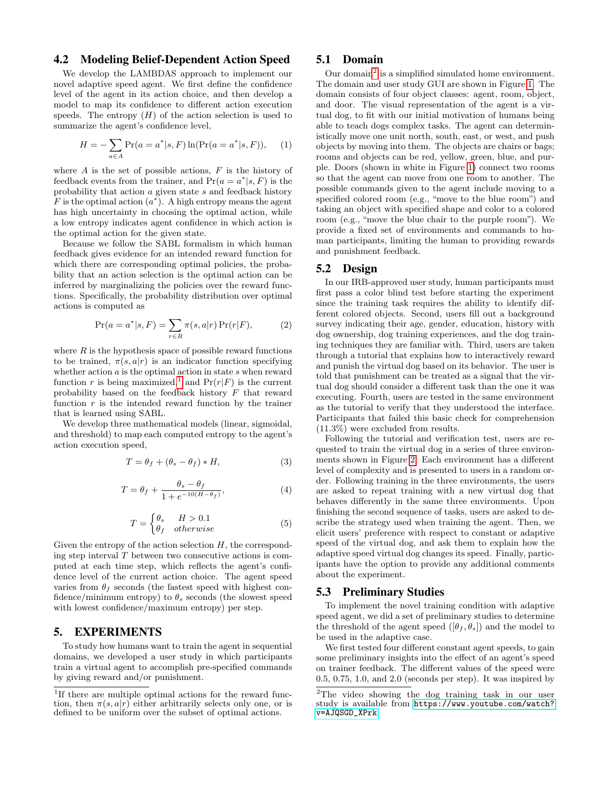#### 4.2 Modeling Belief-Dependent Action Speed

We develop the LAMBDAS approach to implement our novel adaptive speed agent. We first define the confidence level of the agent in its action choice, and then develop a model to map its confidence to different action execution speeds. The entropy  $(H)$  of the action selection is used to summarize the agent's confidence level,

$$
H = -\sum_{a \in A} \Pr(a = a^* | s, F) \ln(\Pr(a = a^* | s, F)), \quad (1)
$$

where  $A$  is the set of possible actions,  $F$  is the history of feedback events from the trainer, and  $Pr(a = a^* | s, F)$  is the probability that action a given state s and feedback history F is the optimal action  $(a^*)$ . A high entropy means the agent has high uncertainty in choosing the optimal action, while a low entropy indicates agent confidence in which action is the optimal action for the given state.

Because we follow the SABL formalism in which human feedback gives evidence for an intended reward function for which there are corresponding optimal policies, the probability that an action selection is the optimal action can be inferred by marginalizing the policies over the reward functions. Specifically, the probability distribution over optimal actions is computed as

$$
\Pr(a = a^* | s, F) = \sum_{r \in R} \pi(s, a | r) \Pr(r | F), \tag{2}
$$

where  $R$  is the hypothesis space of possible reward functions to be trained,  $\pi(s, a|r)$  is an indicator function specifying whether action  $a$  is the optimal action in state  $s$  when reward function r is being maximized,<sup>[1](#page-3-0)</sup> and  $Pr(r|F)$  is the current probability based on the feedback history F that reward function  $r$  is the intended reward function by the trainer that is learned using SABL.

We develop three mathematical models (linear, sigmoidal, and threshold) to map each computed entropy to the agent's action execution speed,

<span id="page-3-3"></span>
$$
T = \theta_f + (\theta_s - \theta_f) * H,\tag{3}
$$

<span id="page-3-4"></span>
$$
T = \theta_f + \frac{\theta_s - \theta_f}{1 + e^{-10(H - \theta_f)}},\tag{4}
$$

<span id="page-3-2"></span>
$$
T = \begin{cases} \theta_s & H > 0.1\\ \theta_f & otherwise \end{cases}
$$
 (5)

Given the entropy of the action selection  $H$ , the corresponding step interval  $T$  between two consecutive actions is computed at each time step, which reflects the agent's confidence level of the current action choice. The agent speed varies from  $\theta_f$  seconds (the fastest speed with highest confidence/minimum entropy) to  $\theta_s$  seconds (the slowest speed with lowest confidence/maximum entropy) per step.

## 5. EXPERIMENTS

To study how humans want to train the agent in sequential domains, we developed a user study in which participants train a virtual agent to accomplish pre-specified commands by giving reward and/or punishment.

#### 5.1 Domain

Our domain<sup>[2](#page-3-1)</sup> is a simplified simulated home environment. The domain and user study GUI are shown in Figure [1.](#page-2-0) The domain consists of four object classes: agent, room, object, and door. The visual representation of the agent is a virtual dog, to fit with our initial motivation of humans being able to teach dogs complex tasks. The agent can deterministically move one unit north, south, east, or west, and push objects by moving into them. The objects are chairs or bags; rooms and objects can be red, yellow, green, blue, and purple. Doors (shown in white in Figure [1\)](#page-2-0) connect two rooms so that the agent can move from one room to another. The possible commands given to the agent include moving to a specified colored room (e.g., "move to the blue room") and taking an object with specified shape and color to a colored room (e.g., "move the blue chair to the purple room"). We provide a fixed set of environments and commands to human participants, limiting the human to providing rewards and punishment feedback.

## 5.2 Design

In our IRB-approved user study, human participants must first pass a color blind test before starting the experiment since the training task requires the ability to identify different colored objects. Second, users fill out a background survey indicating their age, gender, education, history with dog ownership, dog training experiences, and the dog training techniques they are familiar with. Third, users are taken through a tutorial that explains how to interactively reward and punish the virtual dog based on its behavior. The user is told that punishment can be treated as a signal that the virtual dog should consider a different task than the one it was executing. Fourth, users are tested in the same environment as the tutorial to verify that they understood the interface. Participants that failed this basic check for comprehension (11.3%) were excluded from results.

Following the tutorial and verification test, users are requested to train the virtual dog in a series of three environments shown in Figure [2.](#page-4-0) Each environment has a different level of complexity and is presented to users in a random order. Following training in the three environments, the users are asked to repeat training with a new virtual dog that behaves differently in the same three environments. Upon finishing the second sequence of tasks, users are asked to describe the strategy used when training the agent. Then, we elicit users' preference with respect to constant or adaptive speed of the virtual dog, and ask them to explain how the adaptive speed virtual dog changes its speed. Finally, participants have the option to provide any additional comments about the experiment.

#### 5.3 Preliminary Studies

To implement the novel training condition with adaptive speed agent, we did a set of preliminary studies to determine the threshold of the agent speed  $([\theta_f, \theta_s])$  and the model to be used in the adaptive case.

We first tested four different constant agent speeds, to gain some preliminary insights into the effect of an agent's speed on trainer feedback. The different values of the speed were 0.5, 0.75, 1.0, and 2.0 (seconds per step). It was inspired by

<span id="page-3-0"></span><sup>&</sup>lt;sup>1</sup>If there are multiple optimal actions for the reward function, then  $\pi(s, a|r)$  either arbitrarily selects only one, or is defined to be uniform over the subset of optimal actions.

<span id="page-3-1"></span><sup>2</sup>The video showing the dog training task in our user study is available from [https://www.youtube.com/watch?](https://www.youtube.com/watch?v=AJQSGD_XPrk) [v=AJQSGD\\_XPrk](https://www.youtube.com/watch?v=AJQSGD_XPrk)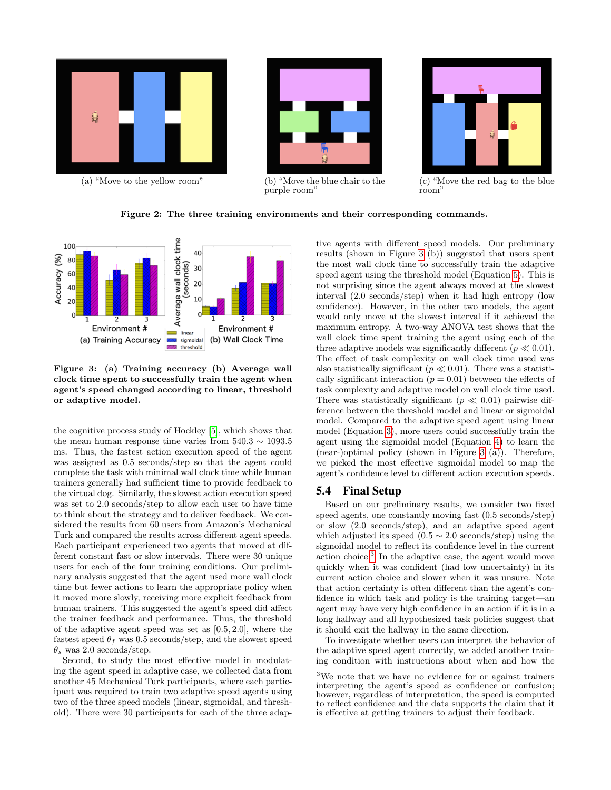



(c) "Move the red bag to the blue room'

#### <span id="page-4-0"></span>Figure 2: The three training environments and their corresponding commands.



<span id="page-4-1"></span>Figure 3: (a) Training accuracy (b) Average wall clock time spent to successfully train the agent when agent's speed changed according to linear, threshold or adaptive model.

the cognitive process study of Hockley [\[5\]](#page-8-20), which shows that the mean human response time varies from  $540.3 \sim 1093.5$ ms. Thus, the fastest action execution speed of the agent was assigned as 0.5 seconds/step so that the agent could complete the task with minimal wall clock time while human trainers generally had sufficient time to provide feedback to the virtual dog. Similarly, the slowest action execution speed was set to 2.0 seconds/step to allow each user to have time to think about the strategy and to deliver feedback. We considered the results from 60 users from Amazon's Mechanical Turk and compared the results across different agent speeds. Each participant experienced two agents that moved at different constant fast or slow intervals. There were 30 unique users for each of the four training conditions. Our preliminary analysis suggested that the agent used more wall clock time but fewer actions to learn the appropriate policy when it moved more slowly, receiving more explicit feedback from human trainers. This suggested the agent's speed did affect the trainer feedback and performance. Thus, the threshold of the adaptive agent speed was set as [0.5, 2.0], where the fastest speed  $\theta_f$  was 0.5 seconds/step, and the slowest speed  $\theta_s$  was 2.0 seconds/step.

Second, to study the most effective model in modulating the agent speed in adaptive case, we collected data from another 45 Mechanical Turk participants, where each participant was required to train two adaptive speed agents using two of the three speed models (linear, sigmoidal, and threshold). There were 30 participants for each of the three adaptive agents with different speed models. Our preliminary results (shown in Figure [3](#page-4-1) (b)) suggested that users spent the most wall clock time to successfully train the adaptive speed agent using the threshold model (Equation [5\)](#page-3-2). This is not surprising since the agent always moved at the slowest interval (2.0 seconds/step) when it had high entropy (low confidence). However, in the other two models, the agent would only move at the slowest interval if it achieved the maximum entropy. A two-way ANOVA test shows that the wall clock time spent training the agent using each of the three adaptive models was significantly different ( $p \ll 0.01$ ). The effect of task complexity on wall clock time used was also statistically significant ( $p \ll 0.01$ ). There was a statistically significant interaction ( $p = 0.01$ ) between the effects of task complexity and adaptive model on wall clock time used. There was statistically significant ( $p \ll 0.01$ ) pairwise difference between the threshold model and linear or sigmoidal model. Compared to the adaptive speed agent using linear model (Equation [3\)](#page-3-3), more users could successfully train the agent using the sigmoidal model (Equation [4\)](#page-3-4) to learn the (near-)optimal policy (shown in Figure [3](#page-4-1) (a)). Therefore, we picked the most effective sigmoidal model to map the agent's confidence level to different action execution speeds.

#### 5.4 Final Setup

Based on our preliminary results, we consider two fixed speed agents, one constantly moving fast (0.5 seconds/step) or slow (2.0 seconds/step), and an adaptive speed agent which adjusted its speed  $(0.5 \sim 2.0 \text{ seconds/step})$  using the sigmoidal model to reflect its confidence level in the current action choice.[3](#page-4-2) In the adaptive case, the agent would move quickly when it was confident (had low uncertainty) in its current action choice and slower when it was unsure. Note that action certainty is often different than the agent's confidence in which task and policy is the training target—an agent may have very high confidence in an action if it is in a long hallway and all hypothesized task policies suggest that it should exit the hallway in the same direction.

To investigate whether users can interpret the behavior of the adaptive speed agent correctly, we added another training condition with instructions about when and how the

<span id="page-4-2"></span><sup>3</sup>We note that we have no evidence for or against trainers interpreting the agent's speed as confidence or confusion; however, regardless of interpretation, the speed is computed to reflect confidence and the data supports the claim that it is effective at getting trainers to adjust their feedback.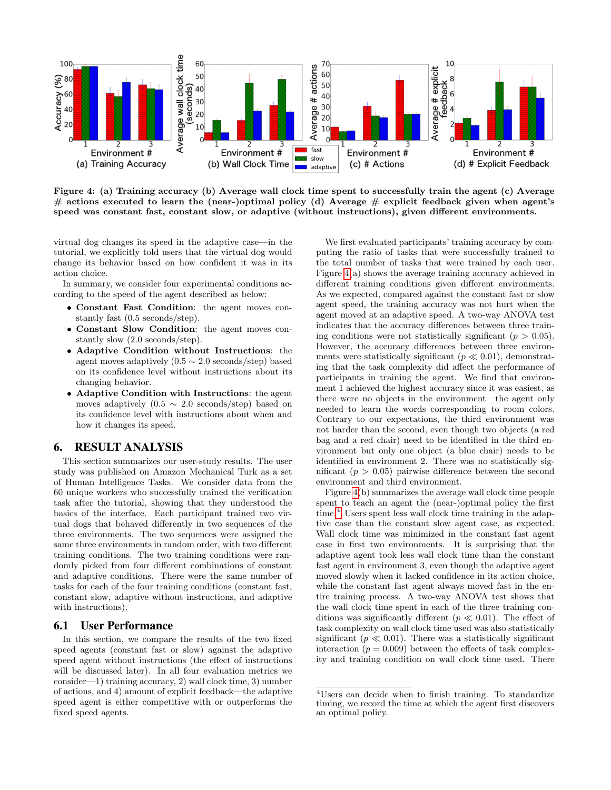

<span id="page-5-0"></span>Figure 4: (a) Training accuracy (b) Average wall clock time spent to successfully train the agent (c) Average # actions executed to learn the (near-)optimal policy (d) Average # explicit feedback given when agent's speed was constant fast, constant slow, or adaptive (without instructions), given different environments.

virtual dog changes its speed in the adaptive case—in the tutorial, we explicitly told users that the virtual dog would change its behavior based on how confident it was in its action choice.

In summary, we consider four experimental conditions according to the speed of the agent described as below:

- Constant Fast Condition: the agent moves constantly fast (0.5 seconds/step).
- Constant Slow Condition: the agent moves constantly slow (2.0 seconds/step).
- Adaptive Condition without Instructions: the agent moves adaptively  $(0.5 \sim 2.0 \text{ seconds/step})$  based on its confidence level without instructions about its changing behavior.
- Adaptive Condition with Instructions: the agent moves adaptively  $(0.5 \sim 2.0 \text{ seconds/step})$  based on its confidence level with instructions about when and how it changes its speed.

#### 6. RESULT ANALYSIS

This section summarizes our user-study results. The user study was published on Amazon Mechanical Turk as a set of Human Intelligence Tasks. We consider data from the 60 unique workers who successfully trained the verification task after the tutorial, showing that they understood the basics of the interface. Each participant trained two virtual dogs that behaved differently in two sequences of the three environments. The two sequences were assigned the same three environments in random order, with two different training conditions. The two training conditions were randomly picked from four different combinations of constant and adaptive conditions. There were the same number of tasks for each of the four training conditions (constant fast, constant slow, adaptive without instructions, and adaptive with instructions).

#### 6.1 User Performance

In this section, we compare the results of the two fixed speed agents (constant fast or slow) against the adaptive speed agent without instructions (the effect of instructions will be discussed later). In all four evaluation metrics we consider—1) training accuracy, 2) wall clock time, 3) number of actions, and 4) amount of explicit feedback—the adaptive speed agent is either competitive with or outperforms the fixed speed agents.

We first evaluated participants' training accuracy by computing the ratio of tasks that were successfully trained to the total number of tasks that were trained by each user. Figure [4\(](#page-5-0)a) shows the average training accuracy achieved in different training conditions given different environments. As we expected, compared against the constant fast or slow agent speed, the training accuracy was not hurt when the agent moved at an adaptive speed. A two-way ANOVA test indicates that the accuracy differences between three training conditions were not statistically significant ( $p > 0.05$ ). However, the accuracy differences between three environments were statistically significant ( $p \ll 0.01$ ), demonstrating that the task complexity did affect the performance of participants in training the agent. We find that environment 1 achieved the highest accuracy since it was easiest, as there were no objects in the environment—the agent only needed to learn the words corresponding to room colors. Contrary to our expectations, the third environment was not harder than the second, even though two objects (a red bag and a red chair) need to be identified in the third environment but only one object (a blue chair) needs to be identified in environment 2. There was no statistically significant  $(p > 0.05)$  pairwise difference between the second environment and third environment.

Figure [4\(](#page-5-0)b) summarizes the average wall clock time people spent to teach an agent the (near-)optimal policy the first time.<sup>[4](#page-5-1)</sup> Users spent less wall clock time training in the adaptive case than the constant slow agent case, as expected. Wall clock time was minimized in the constant fast agent case in first two environments. It is surprising that the adaptive agent took less wall clock time than the constant fast agent in environment 3, even though the adaptive agent moved slowly when it lacked confidence in its action choice, while the constant fast agent always moved fast in the entire training process. A two-way ANOVA test shows that the wall clock time spent in each of the three training conditions was significantly different ( $p \ll 0.01$ ). The effect of task complexity on wall clock time used was also statistically significant ( $p \ll 0.01$ ). There was a statistically significant interaction ( $p = 0.009$ ) between the effects of task complexity and training condition on wall clock time used. There

<span id="page-5-1"></span><sup>4</sup>Users can decide when to finish training. To standardize timing, we record the time at which the agent first discovers an optimal policy.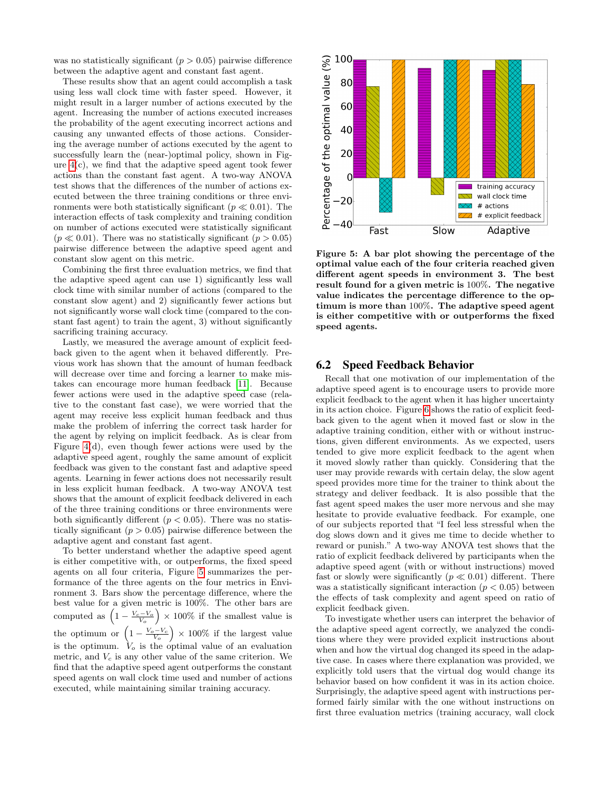was no statistically significant  $(p > 0.05)$  pairwise difference between the adaptive agent and constant fast agent.

These results show that an agent could accomplish a task using less wall clock time with faster speed. However, it might result in a larger number of actions executed by the agent. Increasing the number of actions executed increases the probability of the agent executing incorrect actions and causing any unwanted effects of those actions. Considering the average number of actions executed by the agent to successfully learn the (near-)optimal policy, shown in Figure  $4(c)$ , we find that the adaptive speed agent took fewer actions than the constant fast agent. A two-way ANOVA test shows that the differences of the number of actions executed between the three training conditions or three environments were both statistically significant ( $p \ll 0.01$ ). The interaction effects of task complexity and training condition on number of actions executed were statistically significant  $(p \ll 0.01)$ . There was no statistically significant  $(p > 0.05)$ pairwise difference between the adaptive speed agent and constant slow agent on this metric.

Combining the first three evaluation metrics, we find that the adaptive speed agent can use 1) significantly less wall clock time with similar number of actions (compared to the constant slow agent) and 2) significantly fewer actions but not significantly worse wall clock time (compared to the constant fast agent) to train the agent, 3) without significantly sacrificing training accuracy.

Lastly, we measured the average amount of explicit feedback given to the agent when it behaved differently. Previous work has shown that the amount of human feedback will decrease over time and forcing a learner to make mistakes can encourage more human feedback [\[11\]](#page-8-5). Because fewer actions were used in the adaptive speed case (relative to the constant fast case), we were worried that the agent may receive less explicit human feedback and thus make the problem of inferring the correct task harder for the agent by relying on implicit feedback. As is clear from Figure [4\(](#page-5-0)d), even though fewer actions were used by the adaptive speed agent, roughly the same amount of explicit feedback was given to the constant fast and adaptive speed agents. Learning in fewer actions does not necessarily result in less explicit human feedback. A two-way ANOVA test shows that the amount of explicit feedback delivered in each of the three training conditions or three environments were both significantly different ( $p < 0.05$ ). There was no statistically significant  $(p > 0.05)$  pairwise difference between the adaptive agent and constant fast agent.

To better understand whether the adaptive speed agent is either competitive with, or outperforms, the fixed speed agents on all four criteria, Figure [5](#page-6-0) summarizes the performance of the three agents on the four metrics in Environment 3. Bars show the percentage difference, where the best value for a given metric is 100%. The other bars are computed as  $\left(1 - \frac{V_c - V_o}{V_o}\right) \times 100\%$  if the smallest value is the optimum or  $\left(1-\frac{V_o-V_c}{V_o}\right) \times 100\%$  if the largest value is the optimum.  $V_o$  is the optimal value of an evaluation metric, and  $V_c$  is any other value of the same criterion. We find that the adaptive speed agent outperforms the constant speed agents on wall clock time used and number of actions executed, while maintaining similar training accuracy.



<span id="page-6-0"></span>Figure 5: A bar plot showing the percentage of the optimal value each of the four criteria reached given different agent speeds in environment 3. The best result found for a given metric is 100%. The negative value indicates the percentage difference to the optimum is more than 100%. The adaptive speed agent is either competitive with or outperforms the fixed speed agents.

#### 6.2 Speed Feedback Behavior

Recall that one motivation of our implementation of the adaptive speed agent is to encourage users to provide more explicit feedback to the agent when it has higher uncertainty in its action choice. Figure [6](#page-7-0) shows the ratio of explicit feedback given to the agent when it moved fast or slow in the adaptive training condition, either with or without instructions, given different environments. As we expected, users tended to give more explicit feedback to the agent when it moved slowly rather than quickly. Considering that the user may provide rewards with certain delay, the slow agent speed provides more time for the trainer to think about the strategy and deliver feedback. It is also possible that the fast agent speed makes the user more nervous and she may hesitate to provide evaluative feedback. For example, one of our subjects reported that "I feel less stressful when the dog slows down and it gives me time to decide whether to reward or punish." A two-way ANOVA test shows that the ratio of explicit feedback delivered by participants when the adaptive speed agent (with or without instructions) moved fast or slowly were significantly  $(p \ll 0.01)$  different. There was a statistically significant interaction  $(p < 0.05)$  between the effects of task complexity and agent speed on ratio of explicit feedback given.

To investigate whether users can interpret the behavior of the adaptive speed agent correctly, we analyzed the conditions where they were provided explicit instructions about when and how the virtual dog changed its speed in the adaptive case. In cases where there explanation was provided, we explicitly told users that the virtual dog would change its behavior based on how confident it was in its action choice. Surprisingly, the adaptive speed agent with instructions performed fairly similar with the one without instructions on first three evaluation metrics (training accuracy, wall clock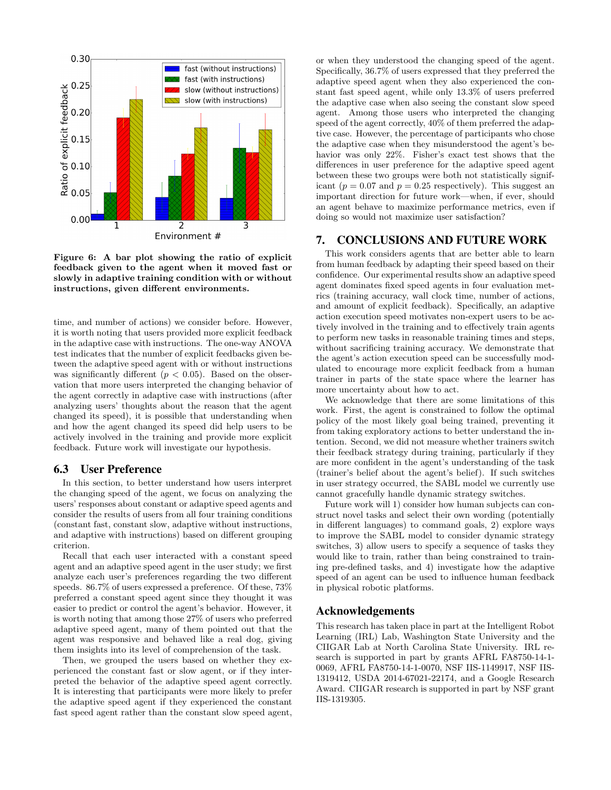

<span id="page-7-0"></span>Figure 6: A bar plot showing the ratio of explicit feedback given to the agent when it moved fast or slowly in adaptive training condition with or without instructions, given different environments.

time, and number of actions) we consider before. However, it is worth noting that users provided more explicit feedback in the adaptive case with instructions. The one-way ANOVA test indicates that the number of explicit feedbacks given between the adaptive speed agent with or without instructions was significantly different  $(p < 0.05)$ . Based on the observation that more users interpreted the changing behavior of the agent correctly in adaptive case with instructions (after analyzing users' thoughts about the reason that the agent changed its speed), it is possible that understanding when and how the agent changed its speed did help users to be actively involved in the training and provide more explicit feedback. Future work will investigate our hypothesis.

#### 6.3 User Preference

In this section, to better understand how users interpret the changing speed of the agent, we focus on analyzing the users' responses about constant or adaptive speed agents and consider the results of users from all four training conditions (constant fast, constant slow, adaptive without instructions, and adaptive with instructions) based on different grouping criterion.

Recall that each user interacted with a constant speed agent and an adaptive speed agent in the user study; we first analyze each user's preferences regarding the two different speeds. 86.7% of users expressed a preference. Of these, 73% preferred a constant speed agent since they thought it was easier to predict or control the agent's behavior. However, it is worth noting that among those 27% of users who preferred adaptive speed agent, many of them pointed out that the agent was responsive and behaved like a real dog, giving them insights into its level of comprehension of the task.

Then, we grouped the users based on whether they experienced the constant fast or slow agent, or if they interpreted the behavior of the adaptive speed agent correctly. It is interesting that participants were more likely to prefer the adaptive speed agent if they experienced the constant fast speed agent rather than the constant slow speed agent, or when they understood the changing speed of the agent. Specifically, 36.7% of users expressed that they preferred the adaptive speed agent when they also experienced the constant fast speed agent, while only 13.3% of users preferred the adaptive case when also seeing the constant slow speed agent. Among those users who interpreted the changing speed of the agent correctly, 40% of them preferred the adaptive case. However, the percentage of participants who chose the adaptive case when they misunderstood the agent's behavior was only 22%. Fisher's exact test shows that the differences in user preference for the adaptive speed agent between these two groups were both not statistically significant ( $p = 0.07$  and  $p = 0.25$  respectively). This suggest an important direction for future work—when, if ever, should an agent behave to maximize performance metrics, even if doing so would not maximize user satisfaction?

#### 7. CONCLUSIONS AND FUTURE WORK

This work considers agents that are better able to learn from human feedback by adapting their speed based on their confidence. Our experimental results show an adaptive speed agent dominates fixed speed agents in four evaluation metrics (training accuracy, wall clock time, number of actions, and amount of explicit feedback). Specifically, an adaptive action execution speed motivates non-expert users to be actively involved in the training and to effectively train agents to perform new tasks in reasonable training times and steps, without sacrificing training accuracy. We demonstrate that the agent's action execution speed can be successfully modulated to encourage more explicit feedback from a human trainer in parts of the state space where the learner has more uncertainty about how to act.

We acknowledge that there are some limitations of this work. First, the agent is constrained to follow the optimal policy of the most likely goal being trained, preventing it from taking exploratory actions to better understand the intention. Second, we did not measure whether trainers switch their feedback strategy during training, particularly if they are more confident in the agent's understanding of the task (trainer's belief about the agent's belief). If such switches in user strategy occurred, the SABL model we currently use cannot gracefully handle dynamic strategy switches.

Future work will 1) consider how human subjects can construct novel tasks and select their own wording (potentially in different languages) to command goals, 2) explore ways to improve the SABL model to consider dynamic strategy switches, 3) allow users to specify a sequence of tasks they would like to train, rather than being constrained to training pre-defined tasks, and 4) investigate how the adaptive speed of an agent can be used to influence human feedback in physical robotic platforms.

## Acknowledgements

This research has taken place in part at the Intelligent Robot Learning (IRL) Lab, Washington State University and the CIIGAR Lab at North Carolina State University. IRL research is supported in part by grants AFRL FA8750-14-1- 0069, AFRL FA8750-14-1-0070, NSF IIS-1149917, NSF IIS-1319412, USDA 2014-67021-22174, and a Google Research Award. CIIGAR research is supported in part by NSF grant IIS-1319305.